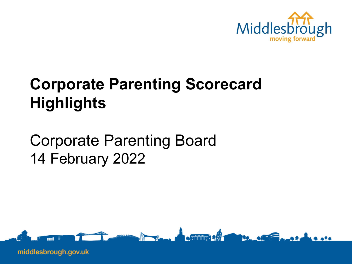

# **Corporate Parenting Scorecard Highlights**

Corporate Parenting Board 14 February 2022

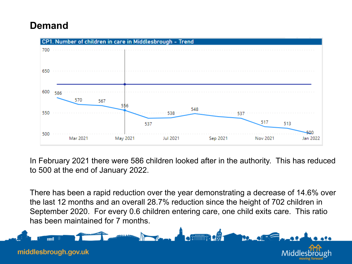### **Demand**



In February 2021 there were 586 children looked after in the authority. This has reduced to 500 at the end of January 2022.

There has been a rapid reduction over the year demonstrating a decrease of 14.6% over the last 12 months and an overall 28.7% reduction since the height of 702 children in September 2020. For every 0.6 children entering care, one child exits care. This ratio has been maintained for 7 months.

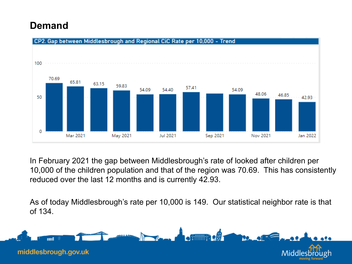### **Demand**



In February 2021 the gap between Middlesbrough's rate of looked after children per 10,000 of the children population and that of the region was 70.69. This has consistently reduced over the last 12 months and is currently 42.93.

As of today Middlesbrough's rate per 10,000 is 149. Our statistical neighbor rate is that of 134.

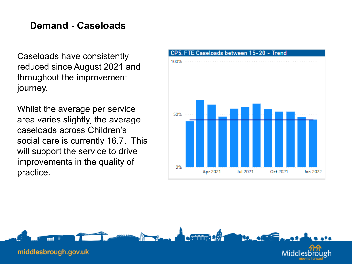### **Demand - Caseloads**

Caseloads have consistently reduced since August 2021 and throughout the improvement journey.

Whilst the average per service area varies slightly, the average caseloads across Children's social care is currently 16.7. This will support the service to drive improvements in the quality of practice.



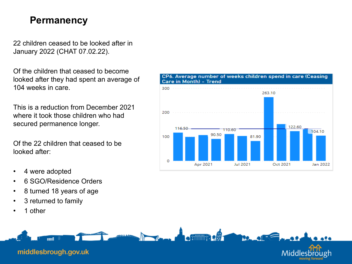#### **Permanency**

22 children ceased to be looked after in January 2022 (CHAT 07.02.22).

Of the children that ceased to become looked after they had spent an average of 104 weeks in care.

This is a reduction from December 2021 where it took those children who had secured permanence longer.

Of the 22 children that ceased to be looked after:

- 4 were adopted
- 6 SGO/Residence Orders
- 8 turned 18 years of age
- 3 returned to family
- 1 other



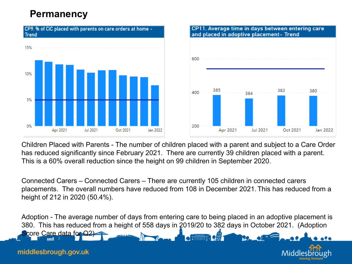### **Permanency**





Children Placed with Parents - The number of children placed with a parent and subject to a Care Order has reduced significantly since February 2021. There are currently 39 children placed with a parent. This is a 60% overall reduction since the height on 99 children in September 2020.

Connected Carers – Connected Carers – There are currently 105 children in connected carers placements. The overall numbers have reduced from 108 in December 2021. This has reduced from a height of 212 in 2020 (50.4%).

Adoption - The average number of days from entering care to being placed in an adoptive placement is 380. This has reduced from a height of 558 days in 2019/20 to 382 days in October 2021. (Adoption Score Care data for Q2)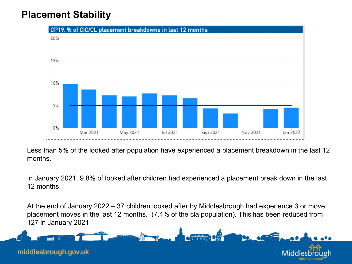## **Placement Stability**



Less than 5% of the looked after population have experienced a placement breakdown in the last 12 months.

In January 2021, 9.8% of looked after children had experienced a placement break down in the last 12 months.

At the end of January 2022 – 37 children looked after by Middlesbrough had experience 3 or move placement moves in the last 12 months. (7.4% of the cla population). This has been reduced from 127 in January 2021.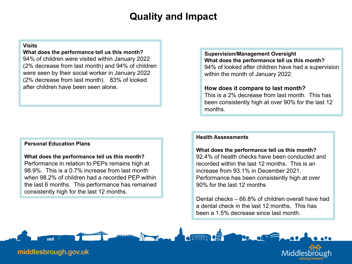### **Quality and Impact**

#### **Visits**

**What does the performance tell us this month?** 94% of children were visited within January 2022 (2% decrease from last month) and 94% of children were seen by their social worker in January 2022 (2% decrease from last month). 83% of looked after children have been seen alone.

#### **Personal Education Plans**

**What does the performance tell us this month?** Performance in relation to PEPs remains high at 98.9%. This is a 0.7% increase from last month when 98.2% of children had a recorded PEP within the last 6 months. This performance has remained consistently high for the last 12 months.

**Supervision/Management Oversight What does the performance tell us this month?** 94% of looked after children have had a supervision within the month of January 2022.

#### **How does it compare to last month?**

This is a 2% decrease from last month. This has been consistently high at over 90% for the last 12 months.

#### **Health Assessments**

**What does the performance tell us this month?** 92.4% of health checks have been conducted and recorded within the last 12 months. This is an increase from 93.1% in December 2021. Performance has been consistently high at over 90% for the last 12 months

Dental checks – 66.8% of children overall have had a dental check in the last 12 months. This has been a 1.5% decrease since last month.